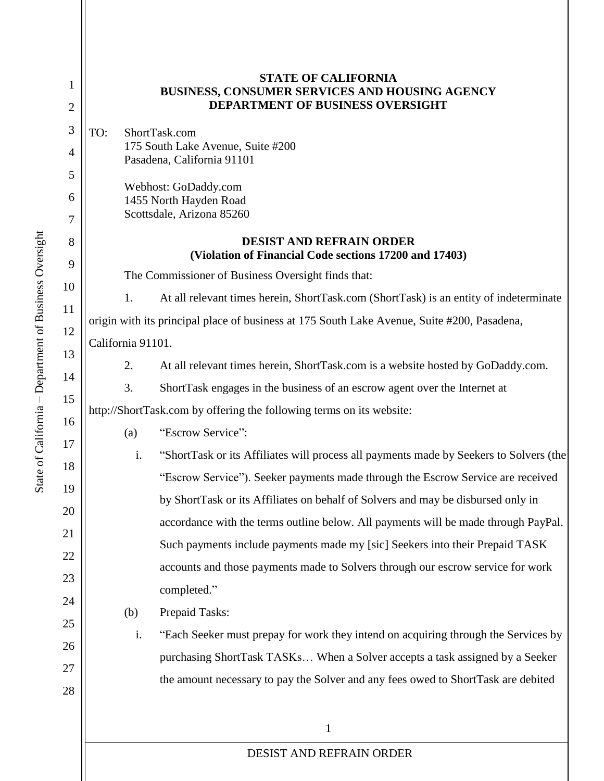| 1<br>$\mathbf{2}$ | <b>STATE OF CALIFORNIA</b><br>BUSINESS, CONSUMER SERVICES AND HOUSING AGENCY<br><b>DEPARTMENT OF BUSINESS OVERSIGHT</b> |
|-------------------|-------------------------------------------------------------------------------------------------------------------------|
| 3                 | TO:<br>ShortTask.com                                                                                                    |
| 4                 | 175 South Lake Avenue, Suite #200<br>Pasadena, California 91101                                                         |
| 5                 |                                                                                                                         |
| 6                 | Webhost: GoDaddy.com<br>1455 North Hayden Road                                                                          |
| 7                 | Scottsdale, Arizona 85260                                                                                               |
| 8<br>9            | <b>DESIST AND REFRAIN ORDER</b><br>(Violation of Financial Code sections 17200 and 17403)                               |
| 10                | The Commissioner of Business Oversight finds that:                                                                      |
| 11                | 1.<br>At all relevant times herein, ShortTask.com (ShortTask) is an entity of indeterminate                             |
| 12                | origin with its principal place of business at 175 South Lake Avenue, Suite #200, Pasadena,                             |
| 13                | California 91101.                                                                                                       |
| 14                | 2.<br>At all relevant times herein, ShortTask.com is a website hosted by GoDaddy.com.                                   |
| 15                | 3.<br>ShortTask engages in the business of an escrow agent over the Internet at                                         |
| 16                | http://ShortTask.com by offering the following terms on its website:                                                    |
| 17                | "Escrow Service":<br>(a)                                                                                                |
| 18                | i.<br>"ShortTask or its Affiliates will process all payments made by Seekers to Solvers (the                            |
| 19                | "Escrow Service"). Seeker payments made through the Escrow Service are received                                         |
| 20                | by ShortTask or its Affiliates on behalf of Solvers and may be disbursed only in                                        |
| 21                | accordance with the terms outline below. All payments will be made through PayPal.                                      |
| 22                | Such payments include payments made my [sic] Seekers into their Prepaid TASK                                            |
| 23                | accounts and those payments made to Solvers through our escrow service for work                                         |
| 24                | completed."                                                                                                             |
| 25                | Prepaid Tasks:<br>(b)                                                                                                   |
| 26                | i.<br>"Each Seeker must prepay for work they intend on acquiring through the Services by                                |
| 27                | purchasing ShortTask TASKs When a Solver accepts a task assigned by a Seeker                                            |
| 28                | the amount necessary to pay the Solver and any fees owed to ShortTask are debited                                       |
|                   |                                                                                                                         |
|                   | 1                                                                                                                       |
|                   | DESIST AND REFRAIN ORDER                                                                                                |
|                   |                                                                                                                         |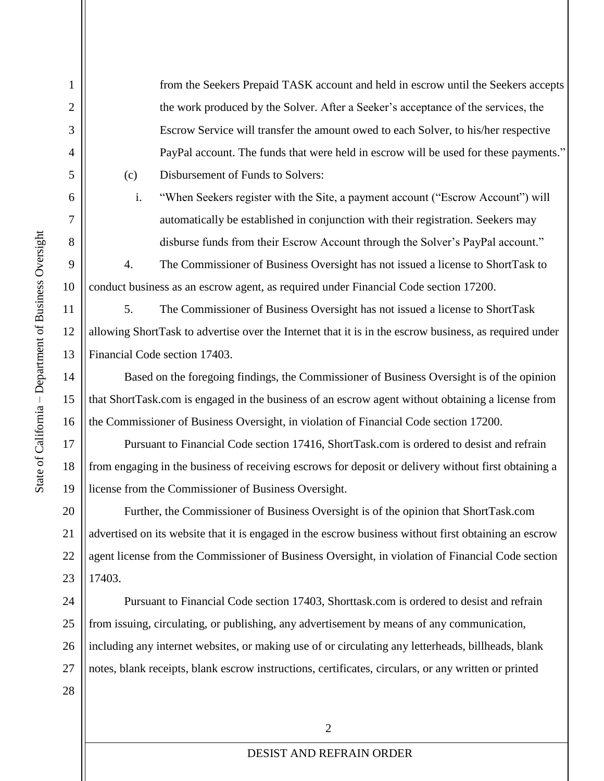1

2

3

4

5

6

7

8

9

10

11

12

13

14

15

16

17

18

19

21

28

from the Seekers Prepaid TASK account and held in escrow until the Seekers accepts the work produced by the Solver. After a Seeker's acceptance of the services, the Escrow Service will transfer the amount owed to each Solver, to his/her respective PayPal account. The funds that were held in escrow will be used for these payments." (c) Disbursement of Funds to Solvers:

i. "When Seekers register with the Site, a payment account ("Escrow Account") will automatically be established in conjunction with their registration. Seekers may disburse funds from their Escrow Account through the Solver's PayPal account."

4. The Commissioner of Business Oversight has not issued a license to ShortTask to conduct business as an escrow agent, as required under Financial Code section 17200.

5. The Commissioner of Business Oversight has not issued a license to ShortTask allowing ShortTask to advertise over the Internet that it is in the escrow business, as required under Financial Code section 17403.

Based on the foregoing findings, the Commissioner of Business Oversight is of the opinion that ShortTask.com is engaged in the business of an escrow agent without obtaining a license from the Commissioner of Business Oversight, in violation of Financial Code section 17200.

Pursuant to Financial Code section 17416, ShortTask.com is ordered to desist and refrain from engaging in the business of receiving escrows for deposit or delivery without first obtaining a license from the Commissioner of Business Oversight.

20 22 23 Further, the Commissioner of Business Oversight is of the opinion that ShortTask.com advertised on its website that it is engaged in the escrow business without first obtaining an escrow agent license from the Commissioner of Business Oversight, in violation of Financial Code section 17403.

24 25 26 27 Pursuant to Financial Code section 17403, Shorttask.com is ordered to desist and refrain from issuing, circulating, or publishing, any advertisement by means of any communication, including any internet websites, or making use of or circulating any letterheads, billheads, blank notes, blank receipts, blank escrow instructions, certificates, circulars, or any written or printed